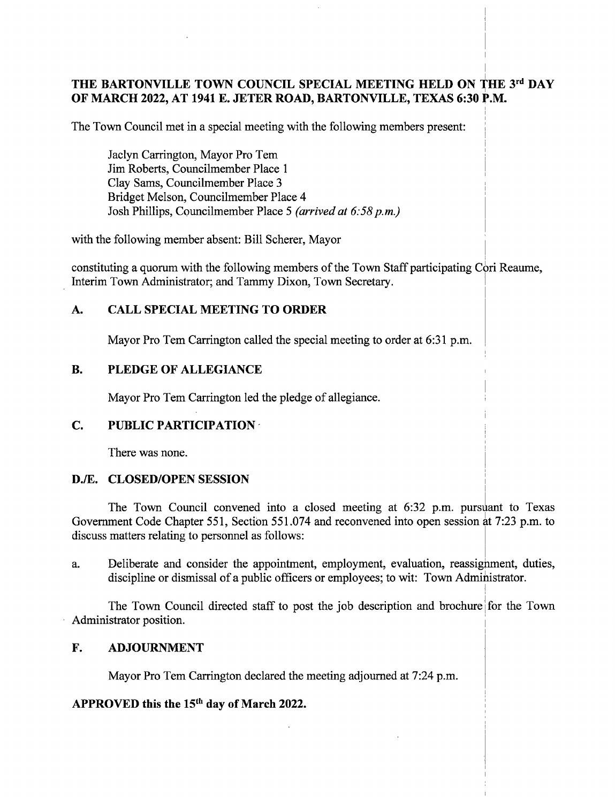# THE BARTONVILLE TOWN COUNCIL SPECIAL MEETING HELD ON THE 3rd DAY OF MARCH 2022, AT 1941 E. JETER ROAD, BARTONVILLE, TEXAS 6:30 P.M.

The Town Council met in a special meeting with the following members present:

Jaclyn Carrington, Mayor Pro Tern Jim Roberts, Councilmember Place <sup>1</sup> Clay Sams, Councilmember Place 3 Bridget Melson, Councilmember Place 4 Josh Phillips, Councilmember Place 5 (arrived at  $6:58$  p.m.)

with the following member absent: Bill Scherer, Mayor

constituting a quorum with the following members of the Town Staff participating Cori Reaume, Interim Town Administrator; and Tammy Dixon, Town Secretary.

## A. CALL SPECIAL MEETING TO ORDER

Mayor Pro Tem Carrington called the special meeting to order at 6:31 p.m.

## B. PLEDGE OF ALLEGIANCE

Mayor Pro Tem Carrington led the pledge of allegiance.

### C. PUBLIC PARTICIPATION

There was none.

### D./E. CLOSED/OPEN SESSION

The Town Council convened into a closed meeting at 6:32 p.m. pursuant to Texas Government Code Chapter 551, Section 551.074 and reconvened into open session at 7:23 p.m. to discuss matters relating to personnel as follows:

a. Deliberate and consider the appointment, employment, evaluation, reassignment, duties, discipline or dismissal of a public officers or employees; to wit: Town Administrator.

The Town Council directed staff to post the job description and brochure for the Town Administrator position.

### F. ADJOURNMENT

Mayor Pro Tem Carrington declared the meeting adjourned at 7:24 p.m.

### APPROVED this the  $15<sup>th</sup>$  day of March 2022.